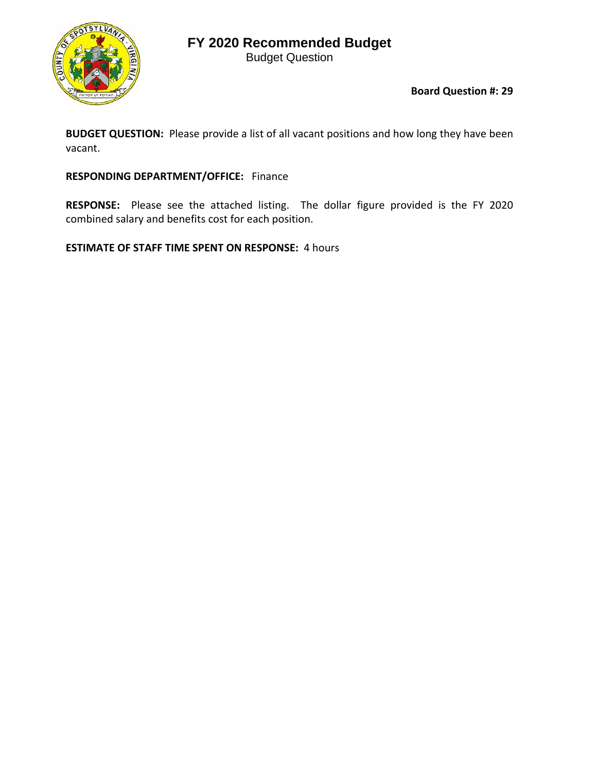## **FY 2020 Recommended Budget**

Budget Question



**Board Question #: 29**

**BUDGET QUESTION:** Please provide a list of all vacant positions and how long they have been vacant.

## **RESPONDING DEPARTMENT/OFFICE:** Finance

RESPONSE: Please see the attached listing. The dollar figure provided is the FY 2020 combined salary and benefits cost for each position.

**ESTIMATE OF STAFF TIME SPENT ON RESPONSE:** 4 hours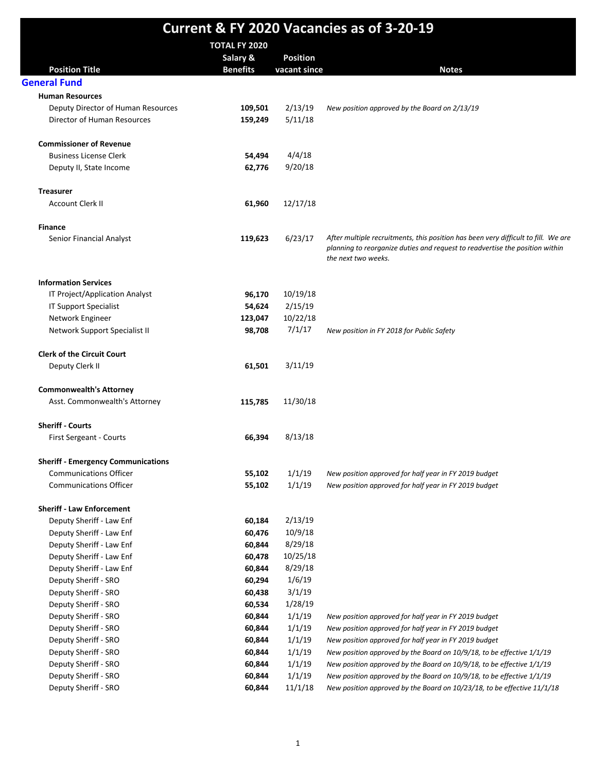|                                                                 |                      |                 | <b>Current &amp; FY 2020 Vacancies as of 3-20-19</b>                                                |
|-----------------------------------------------------------------|----------------------|-----------------|-----------------------------------------------------------------------------------------------------|
|                                                                 | <b>TOTAL FY 2020</b> |                 |                                                                                                     |
|                                                                 | Salary &             | <b>Position</b> |                                                                                                     |
| <b>Position Title</b>                                           | <b>Benefits</b>      | vacant since    | <b>Notes</b>                                                                                        |
| <b>General Fund</b>                                             |                      |                 |                                                                                                     |
| <b>Human Resources</b>                                          |                      |                 |                                                                                                     |
| Deputy Director of Human Resources                              | 109,501              | 2/13/19         | New position approved by the Board on 2/13/19                                                       |
| Director of Human Resources                                     | 159,249              | 5/11/18         |                                                                                                     |
| <b>Commissioner of Revenue</b>                                  |                      |                 |                                                                                                     |
| <b>Business License Clerk</b>                                   | 54,494               | 4/4/18          |                                                                                                     |
| Deputy II, State Income                                         | 62,776               | 9/20/18         |                                                                                                     |
|                                                                 |                      |                 |                                                                                                     |
| <b>Treasurer</b>                                                |                      |                 |                                                                                                     |
| <b>Account Clerk II</b>                                         | 61,960               | 12/17/18        |                                                                                                     |
| <b>Finance</b>                                                  |                      |                 |                                                                                                     |
| Senior Financial Analyst                                        | 119,623              | 6/23/17         | After multiple recruitments, this position has been very difficult to fill. We are                  |
|                                                                 |                      |                 | planning to reorganize duties and request to readvertise the position within<br>the next two weeks. |
| <b>Information Services</b>                                     |                      |                 |                                                                                                     |
| IT Project/Application Analyst                                  | 96,170               | 10/19/18        |                                                                                                     |
| <b>IT Support Specialist</b>                                    | 54,624               | 2/15/19         |                                                                                                     |
| Network Engineer                                                | 123,047              | 10/22/18        |                                                                                                     |
| Network Support Specialist II                                   | 98,708               | 7/1/17          | New position in FY 2018 for Public Safety                                                           |
| <b>Clerk of the Circuit Court</b>                               |                      |                 |                                                                                                     |
| Deputy Clerk II                                                 | 61,501               | 3/11/19         |                                                                                                     |
|                                                                 |                      |                 |                                                                                                     |
| <b>Commonwealth's Attorney</b><br>Asst. Commonwealth's Attorney | 115,785              | 11/30/18        |                                                                                                     |
|                                                                 |                      |                 |                                                                                                     |
| <b>Sheriff - Courts</b>                                         |                      |                 |                                                                                                     |
| First Sergeant - Courts                                         | 66,394               | 8/13/18         |                                                                                                     |
| <b>Sheriff - Emergency Communications</b>                       |                      |                 |                                                                                                     |
| <b>Communications Officer</b>                                   | 55,102               | 1/1/19          | New position approved for half year in FY 2019 budget                                               |
| <b>Communications Officer</b>                                   | 55,102               | 1/1/19          | New position approved for half year in FY 2019 budget                                               |
| <b>Sheriff - Law Enforcement</b>                                |                      |                 |                                                                                                     |
| Deputy Sheriff - Law Enf                                        | 60,184               | 2/13/19         |                                                                                                     |
| Deputy Sheriff - Law Enf                                        | 60,476               | 10/9/18         |                                                                                                     |
| Deputy Sheriff - Law Enf                                        | 60,844               | 8/29/18         |                                                                                                     |
| Deputy Sheriff - Law Enf                                        | 60,478               | 10/25/18        |                                                                                                     |
| Deputy Sheriff - Law Enf                                        | 60,844               | 8/29/18         |                                                                                                     |
| Deputy Sheriff - SRO                                            | 60,294               | 1/6/19          |                                                                                                     |
| Deputy Sheriff - SRO                                            | 60,438               | 3/1/19          |                                                                                                     |
| Deputy Sheriff - SRO                                            | 60,534               | 1/28/19         |                                                                                                     |
| Deputy Sheriff - SRO                                            | 60,844               | 1/1/19          | New position approved for half year in FY 2019 budget                                               |
| Deputy Sheriff - SRO                                            | 60,844               | 1/1/19          | New position approved for half year in FY 2019 budget                                               |
| Deputy Sheriff - SRO                                            | 60,844               | 1/1/19          | New position approved for half year in FY 2019 budget                                               |
| Deputy Sheriff - SRO                                            | 60,844               | 1/1/19          | New position approved by the Board on 10/9/18, to be effective 1/1/19                               |
| Deputy Sheriff - SRO                                            | 60,844               | 1/1/19          | New position approved by the Board on 10/9/18, to be effective 1/1/19                               |
| Deputy Sheriff - SRO                                            | 60,844               | 1/1/19          | New position approved by the Board on 10/9/18, to be effective 1/1/19                               |
| Deputy Sheriff - SRO                                            | 60,844               | 11/1/18         | New position approved by the Board on 10/23/18, to be effective 11/1/18                             |
|                                                                 |                      |                 |                                                                                                     |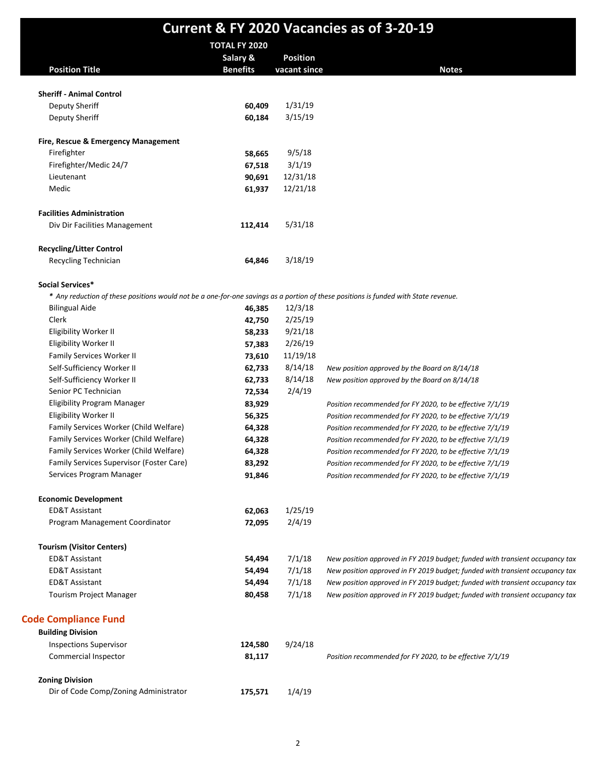|                                                                                                                                     |                      |              | <b>Current &amp; FY 2020 Vacancies as of 3-20-19</b>                         |
|-------------------------------------------------------------------------------------------------------------------------------------|----------------------|--------------|------------------------------------------------------------------------------|
|                                                                                                                                     | <b>TOTAL FY 2020</b> |              |                                                                              |
|                                                                                                                                     | Salary &             | Position     |                                                                              |
| <b>Position Title</b>                                                                                                               | <b>Benefits</b>      | vacant since | <b>Notes</b>                                                                 |
| <b>Sheriff - Animal Control</b>                                                                                                     |                      |              |                                                                              |
| Deputy Sheriff                                                                                                                      | 60,409               | 1/31/19      |                                                                              |
| Deputy Sheriff                                                                                                                      | 60,184               | 3/15/19      |                                                                              |
| Fire, Rescue & Emergency Management                                                                                                 |                      |              |                                                                              |
| Firefighter                                                                                                                         | 58,665               | 9/5/18       |                                                                              |
| Firefighter/Medic 24/7                                                                                                              | 67,518               | 3/1/19       |                                                                              |
| Lieutenant                                                                                                                          | 90,691               | 12/31/18     |                                                                              |
| Medic                                                                                                                               | 61,937               | 12/21/18     |                                                                              |
| <b>Facilities Administration</b>                                                                                                    |                      |              |                                                                              |
| Div Dir Facilities Management                                                                                                       | 112,414              | 5/31/18      |                                                                              |
|                                                                                                                                     |                      |              |                                                                              |
| <b>Recycling/Litter Control</b><br>Recycling Technician                                                                             | 64,846               | 3/18/19      |                                                                              |
|                                                                                                                                     |                      |              |                                                                              |
| Social Services*                                                                                                                    |                      |              |                                                                              |
| * Any reduction of these positions would not be a one-for-one savings as a portion of these positions is funded with State revenue. |                      |              |                                                                              |
| <b>Bilingual Aide</b>                                                                                                               | 46,385               | 12/3/18      |                                                                              |
| Clerk                                                                                                                               | 42,750               | 2/25/19      |                                                                              |
| Eligibility Worker II                                                                                                               | 58,233               | 9/21/18      |                                                                              |
| Eligibility Worker II                                                                                                               | 57,383               | 2/26/19      |                                                                              |
| Family Services Worker II                                                                                                           | 73,610               | 11/19/18     |                                                                              |
| Self-Sufficiency Worker II                                                                                                          | 62,733               | 8/14/18      | New position approved by the Board on 8/14/18                                |
| Self-Sufficiency Worker II                                                                                                          | 62,733               | 8/14/18      | New position approved by the Board on 8/14/18                                |
| Senior PC Technician                                                                                                                | 72,534               | 2/4/19       |                                                                              |
| <b>Eligibility Program Manager</b>                                                                                                  | 83,929               |              | Position recommended for FY 2020, to be effective 7/1/19                     |
| Eligibility Worker II                                                                                                               | 56,325               |              | Position recommended for FY 2020, to be effective 7/1/19                     |
| Family Services Worker (Child Welfare)                                                                                              | 64,328               |              | Position recommended for FY 2020, to be effective 7/1/19                     |
| Family Services Worker (Child Welfare)                                                                                              | 64,328               |              | Position recommended for FY 2020, to be effective 7/1/19                     |
| Family Services Worker (Child Welfare)                                                                                              | 64,328               |              | Position recommended for FY 2020, to be effective 7/1/19                     |
| Family Services Supervisor (Foster Care)                                                                                            | 83,292               |              | Position recommended for FY 2020, to be effective 7/1/19                     |
| Services Program Manager                                                                                                            | 91,846               |              | Position recommended for FY 2020, to be effective 7/1/19                     |
| <b>Economic Development</b>                                                                                                         |                      |              |                                                                              |
| <b>ED&amp;T Assistant</b>                                                                                                           | 62,063               | 1/25/19      |                                                                              |
| Program Management Coordinator                                                                                                      | 72,095               | 2/4/19       |                                                                              |
| <b>Tourism (Visitor Centers)</b>                                                                                                    |                      |              |                                                                              |
| <b>ED&amp;T Assistant</b>                                                                                                           | 54,494               | 7/1/18       | New position approved in FY 2019 budget; funded with transient occupancy tax |
| <b>ED&amp;T Assistant</b>                                                                                                           | 54,494               | 7/1/18       | New position approved in FY 2019 budget; funded with transient occupancy tax |
| ED&T Assistant                                                                                                                      | 54,494               | 7/1/18       | New position approved in FY 2019 budget; funded with transient occupancy tax |
| <b>Tourism Project Manager</b>                                                                                                      | 80,458               | 7/1/18       | New position approved in FY 2019 budget; funded with transient occupancy tax |
| <b>Code Compliance Fund</b>                                                                                                         |                      |              |                                                                              |
| <b>Building Division</b>                                                                                                            |                      |              |                                                                              |
| <b>Inspections Supervisor</b>                                                                                                       | 124,580              | 9/24/18      |                                                                              |
| Commercial Inspector                                                                                                                | 81,117               |              | Position recommended for FY 2020, to be effective 7/1/19                     |
| <b>Zoning Division</b>                                                                                                              |                      |              |                                                                              |
| Dir of Code Comp/Zoning Administrator                                                                                               | 175,571              | 1/4/19       |                                                                              |